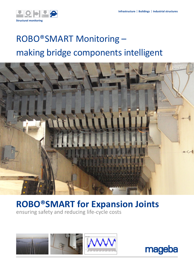

# ROBO®SMART Monitoring – making bridge components intelligent



## **ROBO®SMART for Expansion Joints**

ensuring safety and reducing life-cycle costs